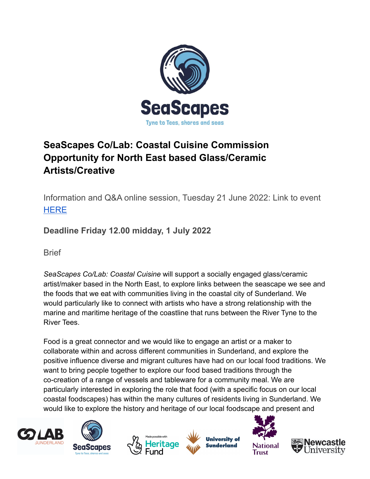

# **SeaScapes Co/Lab: Coastal Cuisine Commission Opportunity for North East based Glass/Ceramic Artists/Creative**

Information and Q&A online session, Tuesday 21 June 2022: Link to event **[HERE](https://teams.microsoft.com/l/meetup-join/19%3ameeting_MGI5MTUxYjctYzNmMC00YTgxLWFmODMtM2NmZjhmNjQ3NTgz%40thread.v2/0?context=%7b%22Tid%22%3a%2216a0d960-ee74-4f56-a22a-19ae057918b2%22%2c%22Oid%22%3a%2201f71d01-cf8f-4ee3-bbc7-89e5de34f3d6%22%7d)** 

**Deadline Friday 12.00 midday, 1 July 2022**

**Brief** 

*SeaScapes Co/Lab: Coastal Cuisine* will support a socially engaged glass/ceramic artist/maker based in the North East, to explore links between the seascape we see and the foods that we eat with communities living in the coastal city of Sunderland. We would particularly like to connect with artists who have a strong relationship with the marine and maritime heritage of the coastline that runs between the River Tyne to the River Tees.

Food is a great connector and we would like to engage an artist or a maker to collaborate within and across different communities in Sunderland, and explore the positive influence diverse and migrant cultures have had on our local food traditions. We want to bring people together to explore our food based traditions through the co-creation of a range of vessels and tableware for a community meal. We are particularly interested in exploring the role that food (with a specific focus on our local coastal foodscapes) has within the many cultures of residents living in Sunderland. We would like to explore the history and heritage of our local foodscape and present and











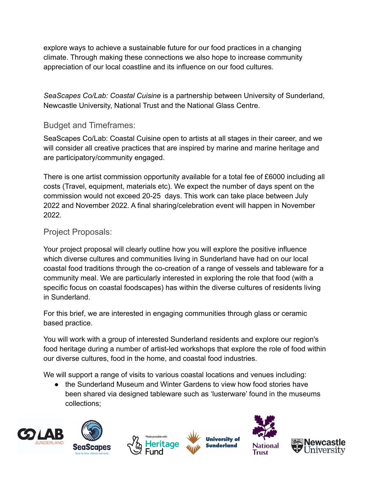explore ways to achieve a sustainable future for our food practices in a changing climate. Through making these connections we also hope to increase community appreciation of our local coastline and its influence on our food cultures.

*SeaScapes Co/Lab: Coastal Cuisine* is a partnership between University of Sunderland, Newcastle University, National Trust and the National Glass Centre.

### Budget and Timeframes:

SeaScapes Co/Lab: Coastal Cuisine open to artists at all stages in their career, and we will consider all creative practices that are inspired by marine and marine heritage and are participatory/community engaged.

There is one artist commission opportunity available for a total fee of £6000 including all costs (Travel, equipment, materials etc). We expect the number of days spent on the commission would not exceed 20-25 days. This work can take place between July 2022 and November 2022. A final sharing/celebration event will happen in November 2022.

### Project Proposals:

Your project proposal will clearly outline how you will explore the positive influence which diverse cultures and communities living in Sunderland have had on our local coastal food traditions through the co-creation of a range of vessels and tableware for a community meal. We are particularly interested in exploring the role that food (with a specific focus on coastal foodscapes) has within the diverse cultures of residents living in Sunderland.

For this brief, we are interested in engaging communities through glass or ceramic based practice.

You will work with a group of interested Sunderland residents and explore our region's food heritage during a number of artist-led workshops that explore the role of food within our diverse cultures, food in the home, and coastal food industries.

We will support a range of visits to various coastal locations and venues including:

● the Sunderland Museum and Winter Gardens to view how food stories have been shared via designed tableware such as 'lusterware' found in the museums collections;











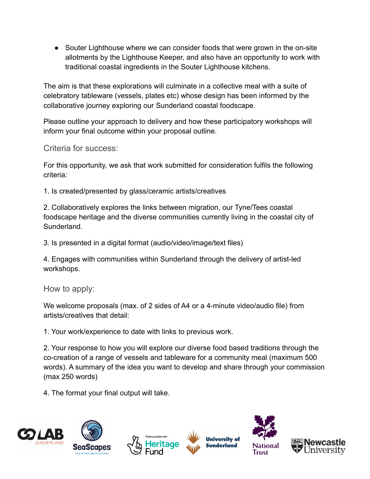• Souter Lighthouse where we can consider foods that were grown in the on-site allotments by the Lighthouse Keeper, and also have an opportunity to work with traditional coastal ingredients in the Souter Lighthouse kitchens.

The aim is that these explorations will culminate in a collective meal with a suite of celebratory tableware (vessels, plates etc) whose design has been informed by the collaborative journey exploring our Sunderland coastal foodscape.

Please outline your approach to delivery and how these participatory workshops will inform your final outcome within your proposal outline.

Criteria for success:

For this opportunity, we ask that work submitted for consideration fulfils the following criteria:

1. Is created/presented by glass/ceramic artists/creatives

2. Collaboratively explores the links between migration, our Tyne/Tees coastal foodscape heritage and the diverse communities currently living in the coastal city of Sunderland.

3. Is presented in a digital format (audio/video/image/text files)

4. Engages with communities within Sunderland through the delivery of artist-led workshops.

How to apply:

We welcome proposals (max. of 2 sides of A4 or a 4-minute video/audio file) from artists/creatives that detail:

1. Your work/experience to date with links to previous work.

2. Your response to how you will explore our diverse food based traditions through the co-creation of a range of vessels and tableware for a community meal (maximum 500 words). A summary of the idea you want to develop and share through your commission (max 250 words)

4. The format your final output will take.

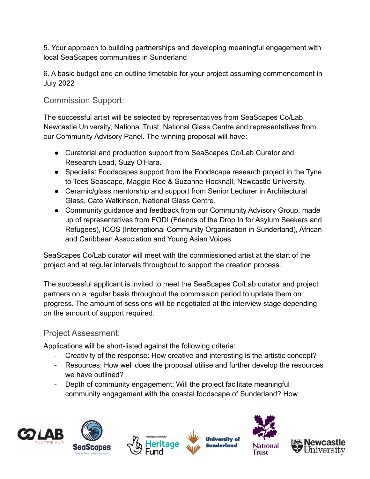5. Your approach to building partnerships and developing meaningful engagement with local SeaScapes communities in Sunderland

6. A basic budget and an outline timetable for your project assuming commencement in July 2022

## Commission Support:

The successful artist will be selected by representatives from SeaScapes Co/Lab, Newcastle University, National Trust, National Glass Centre and representatives from our Community Advisory Panel. The winning proposal will have:

- Curatorial and production support from SeaScapes Co/Lab Curator and Research Lead, Suzy O'Hara.
- Specialist Foodscapes support from the Foodscape research project in the Tyne to Tees Seascape, Maggie Roe & Suzanne Hocknall, Newcastle University.
- Ceramic/glass mentorship and support from Senior Lecturer in Architectural Glass, Cate Watkinson, National Glass Centre.
- Community quidance and feedback from our Community Advisory Group, made up of representatives from FODI (Friends of the Drop In for Asylum Seekers and Refugees), ICOS (International Community Organisation in Sunderland), African and Caribbean Association and Young Asian Voices.

SeaScapes Co/Lab curator will meet with the commissioned artist at the start of the project and at regular intervals throughout to support the creation process.

The successful applicant is invited to meet the SeaScapes Co/Lab curator and project partners on a regular basis throughout the commission period to update them on progress. The amount of sessions will be negotiated at the interview stage depending on the amount of support required.

# Project Assessment:

Applications will be short-listed against the following criteria:

- Creativity of the response: How creative and interesting is the artistic concept?
- Resources: How well does the proposal utilise and further develop the resources we have outlined?
- Depth of community engagement: Will the project facilitate meaningful community engagement with the coastal foodscape of Sunderland? How











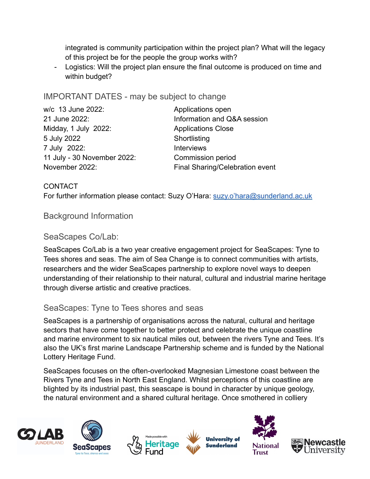integrated is community participation within the project plan? What will the legacy of this project be for the people the group works with?

Logistics: Will the project plan ensure the final outcome is produced on time and within budget?

#### IMPORTANT DATES - may be subject to change

| w/c 13 June 2022:           | Applications open               |
|-----------------------------|---------------------------------|
| 21 June 2022:               | Information and Q&A session     |
| Midday, 1 July 2022:        | <b>Applications Close</b>       |
| 5 July 2022                 | Shortlisting                    |
| 7 July 2022:                | <b>Interviews</b>               |
| 11 July - 30 November 2022: | Commission period               |
| November 2022:              | Final Sharing/Celebration event |

#### **CONTACT**

For further information please contact: Suzy O'Hara: [suzy.o'hara@sunderland.ac.uk](mailto:hara@sunderland.ac.uk)

#### Background Information

#### SeaScapes Co/Lab:

SeaScapes Co/Lab is a two year creative engagement project for SeaScapes: Tyne to Tees shores and seas. The aim of Sea Change is to connect communities with artists, researchers and the wider SeaScapes partnership to explore novel ways to deepen understanding of their relationship to their natural, cultural and industrial marine heritage through diverse artistic and creative practices.

#### SeaScapes: Tyne to Tees shores and seas

SeaScapes is a partnership of organisations across the natural, cultural and heritage sectors that have come together to better protect and celebrate the unique coastline and marine environment to six nautical miles out, between the rivers Tyne and Tees. It's also the UK's first marine Landscape Partnership scheme and is funded by the National Lottery Heritage Fund.

SeaScapes focuses on the often-overlooked Magnesian Limestone coast between the Rivers Tyne and Tees in North East England. Whilst perceptions of this coastline are blighted by its industrial past, this seascape is bound in character by unique geology, the natural environment and a shared cultural heritage. Once smothered in colliery













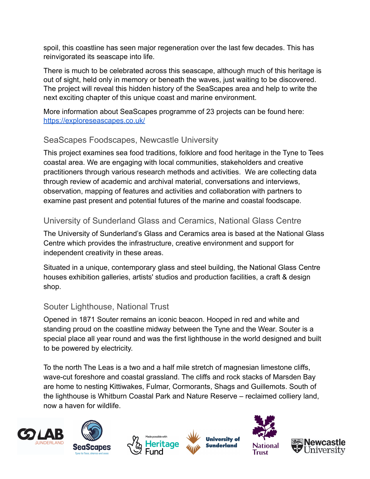spoil, this coastline has seen major regeneration over the last few decades. This has reinvigorated its seascape into life.

There is much to be celebrated across this seascape, although much of this heritage is out of sight, held only in memory or beneath the waves, just waiting to be discovered. The project will reveal this hidden history of the SeaScapes area and help to write the next exciting chapter of this unique coast and marine environment.

More information about SeaScapes programme of 23 projects can be found here: <https://exploreseascapes.co.uk/>

### SeaScapes Foodscapes, Newcastle University

This project examines sea food traditions, folklore and food heritage in the Tyne to Tees coastal area. We are engaging with local communities, stakeholders and creative practitioners through various research methods and activities. We are collecting data through review of academic and archival material, conversations and interviews, observation, mapping of features and activities and collaboration with partners to examine past present and potential futures of the marine and coastal foodscape.

### University of Sunderland Glass and Ceramics, National Glass Centre

The University of Sunderland's Glass and Ceramics area is based at the National Glass Centre which provides the infrastructure, creative environment and support for independent creativity in these areas.

Situated in a unique, contemporary glass and steel building, the National Glass Centre houses exhibition galleries, artists' studios and production facilities, a craft & design shop.

### Souter Lighthouse, National Trust

Opened in 1871 Souter remains an iconic beacon. Hooped in red and white and standing proud on the coastline midway between the Tyne and the Wear. Souter is a special place all year round and was the first lighthouse in the world designed and built to be powered by electricity.

To the north The Leas is a two and a half mile stretch of magnesian limestone cliffs, wave-cut foreshore and coastal grassland. The cliffs and rock stacks of Marsden Bay are home to nesting Kittiwakes, Fulmar, Cormorants, Shags and Guillemots. South of the lighthouse is Whitburn Coastal Park and Nature Reserve – reclaimed colliery land, now a haven for wildlife.